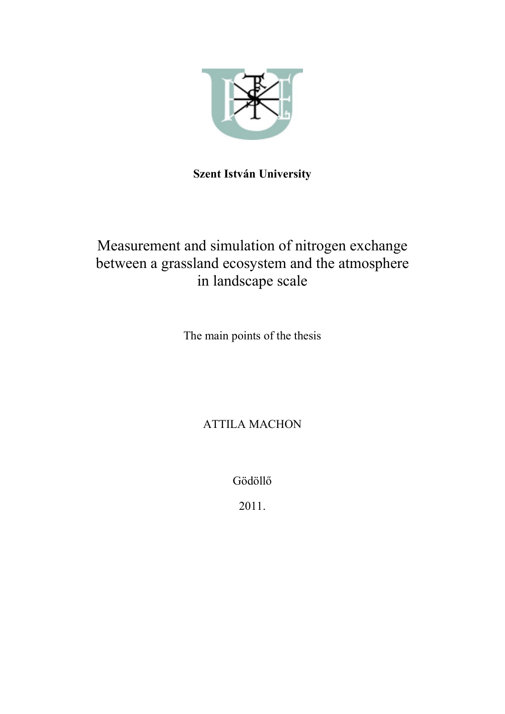

## Szent István University

# Measurement and simulation of nitrogen exchange between a grassland ecosystem and the atmosphere in landscape scale

The main points of the thesis

ATTILA MACHON

Gödöllő

2011.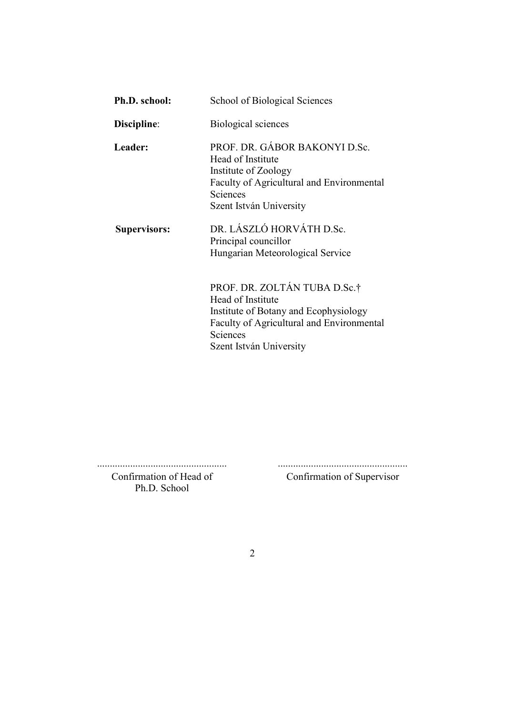| Ph.D. school:       | School of Biological Sciences                                                                                                                                                         |
|---------------------|---------------------------------------------------------------------------------------------------------------------------------------------------------------------------------------|
| Discipline:         | Biological sciences                                                                                                                                                                   |
| Leader:             | PROF. DR. GÁBOR BAKONYI D.Sc.<br>Head of Institute<br>Institute of Zoology<br><b>Faculty of Agricultural and Environmental</b><br>Sciences<br>Szent István University                 |
| <b>Supervisors:</b> | DR. LÁSZLÓ HORVÁTH D.Sc.<br>Principal councillor<br>Hungarian Meteorological Service                                                                                                  |
|                     | PROF. DR. ZOLTÁN TUBA D.Sc.†<br>Head of Institute<br>Institute of Botany and Ecophysiology<br><b>Faculty of Agricultural and Environmental</b><br>Sciences<br>Szent István University |

................................................... ...................................................

Confirmation of Head of Ph.D. School

Confirmation of Supervisor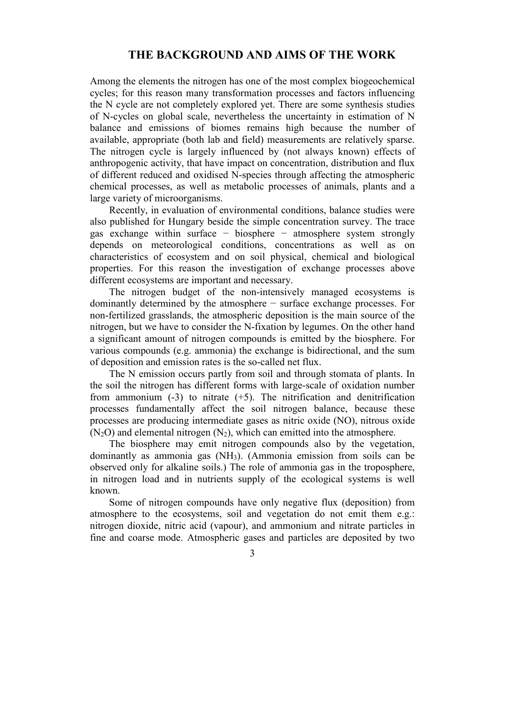## THE BACKGROUND AND AIMS OF THE WORK

Among the elements the nitrogen has one of the most complex biogeochemical cycles; for this reason many transformation processes and factors influencing the N cycle are not completely explored yet. There are some synthesis studies of N-cycles on global scale, nevertheless the uncertainty in estimation of N balance and emissions of biomes remains high because the number of available, appropriate (both lab and field) measurements are relatively sparse. The nitrogen cycle is largely influenced by (not always known) effects of anthropogenic activity, that have impact on concentration, distribution and flux of different reduced and oxidised N-species through affecting the atmospheric chemical processes, as well as metabolic processes of animals, plants and a large variety of microorganisms.

Recently, in evaluation of environmental conditions, balance studies were also published for Hungary beside the simple concentration survey. The trace gas exchange within surface − biosphere − atmosphere system strongly depends on meteorological conditions, concentrations as well as on characteristics of ecosystem and on soil physical, chemical and biological properties. For this reason the investigation of exchange processes above different ecosystems are important and necessary.

The nitrogen budget of the non-intensively managed ecosystems is dominantly determined by the atmosphere − surface exchange processes. For non-fertilized grasslands, the atmospheric deposition is the main source of the nitrogen, but we have to consider the N-fixation by legumes. On the other hand a significant amount of nitrogen compounds is emitted by the biosphere. For various compounds (e.g. ammonia) the exchange is bidirectional, and the sum of deposition and emission rates is the so-called net flux.

The N emission occurs partly from soil and through stomata of plants. In the soil the nitrogen has different forms with large-scale of oxidation number from ammonium  $(-3)$  to nitrate  $(+5)$ . The nitrification and denitrification processes fundamentally affect the soil nitrogen balance, because these processes are producing intermediate gases as nitric oxide (NO), nitrous oxide  $(N<sub>2</sub>O)$  and elemental nitrogen  $(N<sub>2</sub>)$ , which can emitted into the atmosphere.

The biosphere may emit nitrogen compounds also by the vegetation, dominantly as ammonia gas (NH3). (Ammonia emission from soils can be observed only for alkaline soils.) The role of ammonia gas in the troposphere, in nitrogen load and in nutrients supply of the ecological systems is well known.

Some of nitrogen compounds have only negative flux (deposition) from atmosphere to the ecosystems, soil and vegetation do not emit them e.g.: nitrogen dioxide, nitric acid (vapour), and ammonium and nitrate particles in fine and coarse mode. Atmospheric gases and particles are deposited by two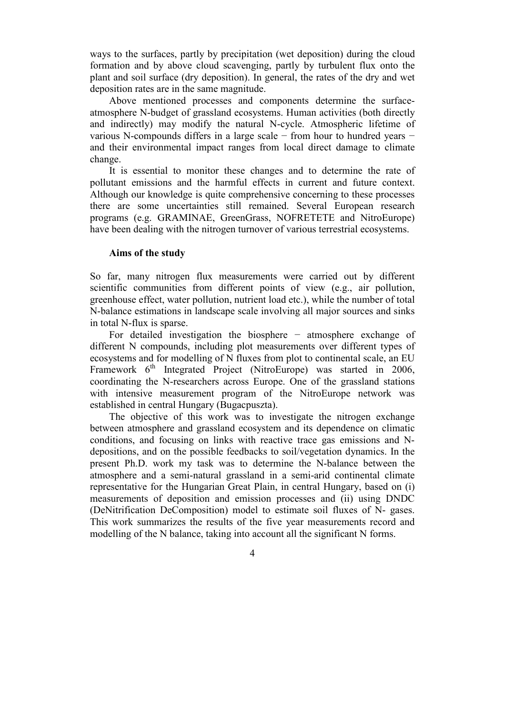ways to the surfaces, partly by precipitation (wet deposition) during the cloud formation and by above cloud scavenging, partly by turbulent flux onto the plant and soil surface (dry deposition). In general, the rates of the dry and wet deposition rates are in the same magnitude.

Above mentioned processes and components determine the surfaceatmosphere N-budget of grassland ecosystems. Human activities (both directly and indirectly) may modify the natural N-cycle. Atmospheric lifetime of various N-compounds differs in a large scale − from hour to hundred years − and their environmental impact ranges from local direct damage to climate change.

It is essential to monitor these changes and to determine the rate of pollutant emissions and the harmful effects in current and future context. Although our knowledge is quite comprehensive concerning to these processes there are some uncertainties still remained. Several European research programs (e.g. GRAMINAE, GreenGrass, NOFRETETE and NitroEurope) have been dealing with the nitrogen turnover of various terrestrial ecosystems.

#### Aims of the study

So far, many nitrogen flux measurements were carried out by different scientific communities from different points of view (e.g., air pollution, greenhouse effect, water pollution, nutrient load etc.), while the number of total N-balance estimations in landscape scale involving all major sources and sinks in total N-flux is sparse.

For detailed investigation the biosphere − atmosphere exchange of different N compounds, including plot measurements over different types of ecosystems and for modelling of N fluxes from plot to continental scale, an EU Framework  $6<sup>th</sup>$  Integrated Project (NitroEurope) was started in 2006, coordinating the N-researchers across Europe. One of the grassland stations with intensive measurement program of the NitroEurope network was established in central Hungary (Bugacpuszta).

The objective of this work was to investigate the nitrogen exchange between atmosphere and grassland ecosystem and its dependence on climatic conditions, and focusing on links with reactive trace gas emissions and Ndepositions, and on the possible feedbacks to soil/vegetation dynamics. In the present Ph.D. work my task was to determine the N-balance between the atmosphere and a semi-natural grassland in a semi-arid continental climate representative for the Hungarian Great Plain, in central Hungary, based on (i) measurements of deposition and emission processes and (ii) using DNDC (DeNitrification DeComposition) model to estimate soil fluxes of N- gases. This work summarizes the results of the five year measurements record and modelling of the N balance, taking into account all the significant N forms.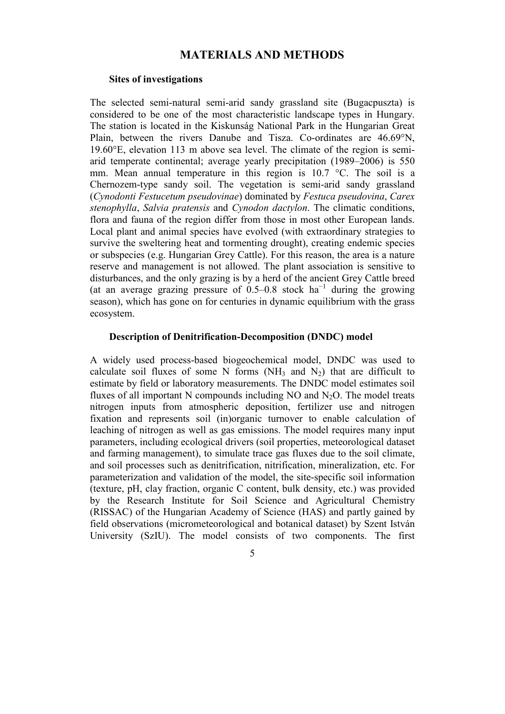## MATERIALS AND METHODS

#### Sites of investigations

The selected semi-natural semi-arid sandy grassland site (Bugacpuszta) is considered to be one of the most characteristic landscape types in Hungary. The station is located in the Kiskunság National Park in the Hungarian Great Plain, between the rivers Danube and Tisza. Co-ordinates are 46.69°N, 19.60°E, elevation 113 m above sea level. The climate of the region is semiarid temperate continental; average yearly precipitation (1989–2006) is 550 mm. Mean annual temperature in this region is 10.7 °C. The soil is a Chernozem-type sandy soil. The vegetation is semi-arid sandy grassland (Cynodonti Festucetum pseudovinae) dominated by Festuca pseudovina, Carex stenophylla, Salvia pratensis and Cynodon dactylon. The climatic conditions, flora and fauna of the region differ from those in most other European lands. Local plant and animal species have evolved (with extraordinary strategies to survive the sweltering heat and tormenting drought), creating endemic species or subspecies (e.g. Hungarian Grey Cattle). For this reason, the area is a nature reserve and management is not allowed. The plant association is sensitive to disturbances, and the only grazing is by a herd of the ancient Grey Cattle breed (at an average grazing pressure of 0.5–0.8 stock  $ha^{-1}$  during the growing season), which has gone on for centuries in dynamic equilibrium with the grass ecosystem.

#### Description of Denitrification-Decomposition (DNDC) model

A widely used process-based biogeochemical model, DNDC was used to calculate soil fluxes of some N forms (NH<sub>3</sub> and N<sub>2</sub>) that are difficult to estimate by field or laboratory measurements. The DNDC model estimates soil fluxes of all important N compounds including  $NO$  and  $N<sub>2</sub>O$ . The model treats nitrogen inputs from atmospheric deposition, fertilizer use and nitrogen fixation and represents soil (in)organic turnover to enable calculation of leaching of nitrogen as well as gas emissions. The model requires many input parameters, including ecological drivers (soil properties, meteorological dataset and farming management), to simulate trace gas fluxes due to the soil climate, and soil processes such as denitrification, nitrification, mineralization, etc. For parameterization and validation of the model, the site-specific soil information (texture, pH, clay fraction, organic C content, bulk density, etc.) was provided by the Research Institute for Soil Science and Agricultural Chemistry (RISSAC) of the Hungarian Academy of Science (HAS) and partly gained by field observations (micrometeorological and botanical dataset) by Szent István University (SzIU). The model consists of two components. The first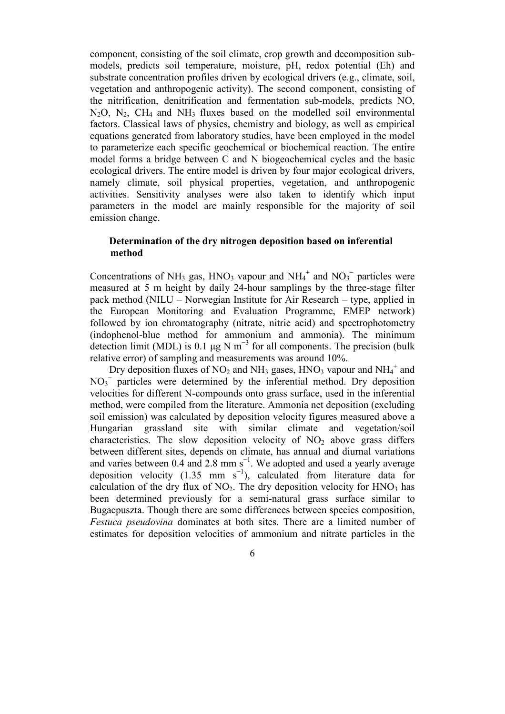component, consisting of the soil climate, crop growth and decomposition submodels, predicts soil temperature, moisture, pH, redox potential (Eh) and substrate concentration profiles driven by ecological drivers (e.g., climate, soil, vegetation and anthropogenic activity). The second component, consisting of the nitrification, denitrification and fermentation sub-models, predicts NO,  $N_2O$ ,  $N_2$ ,  $CH_4$  and  $NH_3$  fluxes based on the modelled soil environmental factors. Classical laws of physics, chemistry and biology, as well as empirical equations generated from laboratory studies, have been employed in the model to parameterize each specific geochemical or biochemical reaction. The entire model forms a bridge between C and N biogeochemical cycles and the basic ecological drivers. The entire model is driven by four major ecological drivers, namely climate, soil physical properties, vegetation, and anthropogenic activities. Sensitivity analyses were also taken to identify which input parameters in the model are mainly responsible for the majority of soil emission change.

#### Determination of the dry nitrogen deposition based on inferential method

Concentrations of NH<sub>3</sub> gas, HNO<sub>3</sub> vapour and NH<sub>4</sub><sup>+</sup> and NO<sub>3</sub><sup>-</sup> particles were measured at 5 m height by daily 24-hour samplings by the three-stage filter pack method (NILU – Norwegian Institute for Air Research – type, applied in the European Monitoring and Evaluation Programme, EMEP network) followed by ion chromatography (nitrate, nitric acid) and spectrophotometry (indophenol-blue method for ammonium and ammonia). The minimum detection limit (MDL) is 0.1  $\mu$ g N m<sup>-3</sup> for all components. The precision (bulk relative error) of sampling and measurements was around 10%.

Dry deposition fluxes of  $NO<sub>2</sub>$  and  $NH<sub>3</sub>$  gases,  $HNO<sub>3</sub>$  vapour and  $NH<sub>4</sub><sup>+</sup>$  and NO<sub>3</sub><sup>-</sup> particles were determined by the inferential method. Dry deposition velocities for different N-compounds onto grass surface, used in the inferential method, were compiled from the literature. Ammonia net deposition (excluding soil emission) was calculated by deposition velocity figures measured above a Hungarian grassland site with similar climate and vegetation/soil characteristics. The slow deposition velocity of  $NO<sub>2</sub>$  above grass differs between different sites, depends on climate, has annual and diurnal variations and varies between 0.4 and 2.8 mm  $s^{-1}$ . We adopted and used a yearly average deposition velocity (1.35 mm s<sup>-1</sup>), calculated from literature data for calculation of the dry flux of  $NO<sub>2</sub>$ . The dry deposition velocity for  $HNO<sub>3</sub>$  has been determined previously for a semi-natural grass surface similar to Bugacpuszta. Though there are some differences between species composition, Festuca pseudovina dominates at both sites. There are a limited number of estimates for deposition velocities of ammonium and nitrate particles in the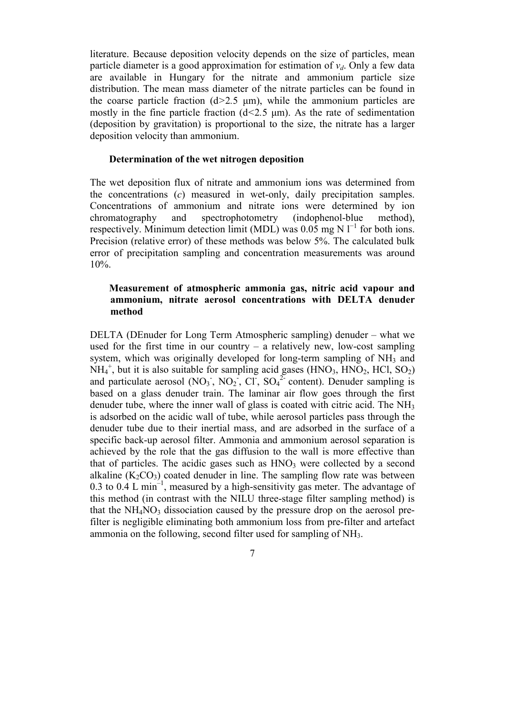literature. Because deposition velocity depends on the size of particles, mean particle diameter is a good approximation for estimation of  $v_d$ . Only a few data are available in Hungary for the nitrate and ammonium particle size distribution. The mean mass diameter of the nitrate particles can be found in the coarse particle fraction  $(d>2.5 \mu m)$ , while the ammonium particles are mostly in the fine particle fraction  $(d<2.5 \text{ }\mu\text{m})$ . As the rate of sedimentation (deposition by gravitation) is proportional to the size, the nitrate has a larger deposition velocity than ammonium.

#### Determination of the wet nitrogen deposition

The wet deposition flux of nitrate and ammonium ions was determined from the concentrations (c) measured in wet-only, daily precipitation samples. Concentrations of ammonium and nitrate ions were determined by ion chromatography and spectrophotometry (indophenol-blue method), respectively. Minimum detection limit (MDL) was  $0.05$  mg N  $l^{-1}$  for both ions. Precision (relative error) of these methods was below 5%. The calculated bulk error of precipitation sampling and concentration measurements was around 10%.

### Measurement of atmospheric ammonia gas, nitric acid vapour and ammonium, nitrate aerosol concentrations with DELTA denuder method

DELTA (DEnuder for Long Term Atmospheric sampling) denuder – what we used for the first time in our country  $-$  a relatively new, low-cost sampling system, which was originally developed for long-term sampling of NH<sub>3</sub> and  $NH_4^+$ , but it is also suitable for sampling acid gases (HNO<sub>3</sub>, HNO<sub>2</sub>, HCl, SO<sub>2</sub>) and particulate aerosol  $(NO_3, NO_2, Cl, SO_4^2$  content). Denuder sampling is based on a glass denuder train. The laminar air flow goes through the first denuder tube, where the inner wall of glass is coated with citric acid. The NH<sub>3</sub> is adsorbed on the acidic wall of tube, while aerosol particles pass through the denuder tube due to their inertial mass, and are adsorbed in the surface of a specific back-up aerosol filter. Ammonia and ammonium aerosol separation is achieved by the role that the gas diffusion to the wall is more effective than that of particles. The acidic gases such as  $HNO<sub>3</sub>$  were collected by a second alkaline  $(K_2CO_3)$  coated denuder in line. The sampling flow rate was between 0.3 to 0.4 L min<sup>-1</sup>, measured by a high-sensitivity gas meter. The advantage of this method (in contrast with the NILU three-stage filter sampling method) is that the  $NH<sub>4</sub>NO<sub>3</sub>$  dissociation caused by the pressure drop on the aerosol prefilter is negligible eliminating both ammonium loss from pre-filter and artefact ammonia on the following, second filter used for sampling of NH3.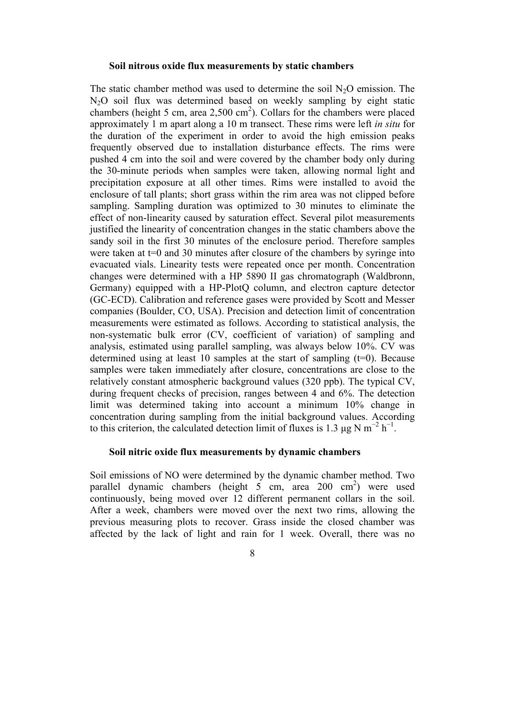#### Soil nitrous oxide flux measurements by static chambers

The static chamber method was used to determine the soil  $N_2O$  emission. The N<sub>2</sub>O soil flux was determined based on weekly sampling by eight static chambers (height 5 cm, area  $2,500 \text{ cm}^2$ ). Collars for the chambers were placed approximately 1 m apart along a 10 m transect. These rims were left in situ for the duration of the experiment in order to avoid the high emission peaks frequently observed due to installation disturbance effects. The rims were pushed 4 cm into the soil and were covered by the chamber body only during the 30-minute periods when samples were taken, allowing normal light and precipitation exposure at all other times. Rims were installed to avoid the enclosure of tall plants; short grass within the rim area was not clipped before sampling. Sampling duration was optimized to 30 minutes to eliminate the effect of non-linearity caused by saturation effect. Several pilot measurements justified the linearity of concentration changes in the static chambers above the sandy soil in the first 30 minutes of the enclosure period. Therefore samples were taken at  $t=0$  and 30 minutes after closure of the chambers by syringe into evacuated vials. Linearity tests were repeated once per month. Concentration changes were determined with a HP 5890 II gas chromatograph (Waldbronn, Germany) equipped with a HP-PlotQ column, and electron capture detector (GC-ECD). Calibration and reference gases were provided by Scott and Messer companies (Boulder, CO, USA). Precision and detection limit of concentration measurements were estimated as follows. According to statistical analysis, the non-systematic bulk error (CV, coefficient of variation) of sampling and analysis, estimated using parallel sampling, was always below 10%. CV was determined using at least 10 samples at the start of sampling  $(t=0)$ . Because samples were taken immediately after closure, concentrations are close to the relatively constant atmospheric background values (320 ppb). The typical CV, during frequent checks of precision, ranges between 4 and 6%. The detection limit was determined taking into account a minimum 10% change in concentration during sampling from the initial background values. According to this criterion, the calculated detection limit of fluxes is 1.3  $\mu$ g N m<sup>-2</sup> h<sup>-1</sup>.

#### Soil nitric oxide flux measurements by dynamic chambers

Soil emissions of NO were determined by the dynamic chamber method. Two parallel dynamic chambers (height  $5 \text{ cm}$ , area 200 cm<sup>2</sup>) were used continuously, being moved over 12 different permanent collars in the soil. After a week, chambers were moved over the next two rims, allowing the previous measuring plots to recover. Grass inside the closed chamber was affected by the lack of light and rain for 1 week. Overall, there was no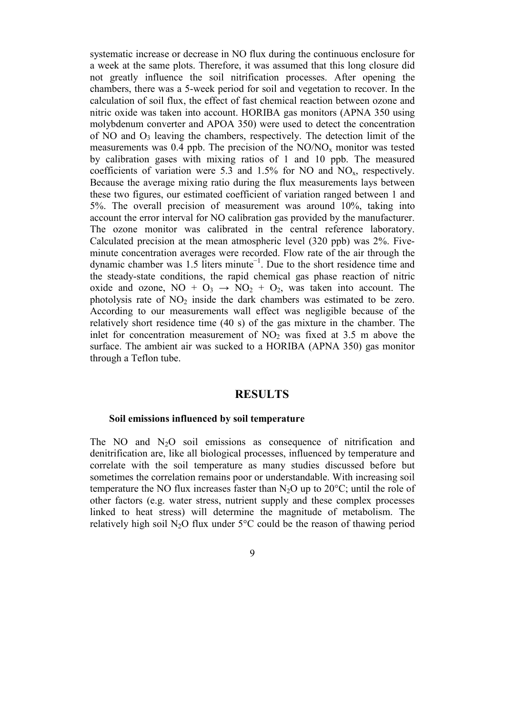systematic increase or decrease in NO flux during the continuous enclosure for a week at the same plots. Therefore, it was assumed that this long closure did not greatly influence the soil nitrification processes. After opening the chambers, there was a 5-week period for soil and vegetation to recover. In the calculation of soil flux, the effect of fast chemical reaction between ozone and nitric oxide was taken into account. HORIBA gas monitors (APNA 350 using molybdenum converter and APOA 350) were used to detect the concentration of NO and  $O_3$  leaving the chambers, respectively. The detection limit of the measurements was 0.4 ppb. The precision of the  $NO/NO<sub>x</sub>$  monitor was tested by calibration gases with mixing ratios of 1 and 10 ppb. The measured coefficients of variation were 5.3 and 1.5% for NO and  $NO<sub>x</sub>$ , respectively. Because the average mixing ratio during the flux measurements lays between these two figures, our estimated coefficient of variation ranged between 1 and 5%. The overall precision of measurement was around 10%, taking into account the error interval for NO calibration gas provided by the manufacturer. The ozone monitor was calibrated in the central reference laboratory. Calculated precision at the mean atmospheric level (320 ppb) was 2%. Fiveminute concentration averages were recorded. Flow rate of the air through the dynamic chamber was 1.5 liters minute−1. Due to the short residence time and the steady-state conditions, the rapid chemical gas phase reaction of nitric oxide and ozone,  $NO + O_3 \rightarrow NO_2 + O_2$ , was taken into account. The photolysis rate of  $NO<sub>2</sub>$  inside the dark chambers was estimated to be zero. According to our measurements wall effect was negligible because of the relatively short residence time (40 s) of the gas mixture in the chamber. The inlet for concentration measurement of  $NO<sub>2</sub>$  was fixed at 3.5 m above the surface. The ambient air was sucked to a HORIBA (APNA 350) gas monitor through a Teflon tube.

#### RESULTS

#### Soil emissions influenced by soil temperature

The NO and  $N_2O$  soil emissions as consequence of nitrification and denitrification are, like all biological processes, influenced by temperature and correlate with the soil temperature as many studies discussed before but sometimes the correlation remains poor or understandable. With increasing soil temperature the NO flux increases faster than  $N_2O$  up to  $20^{\circ}$ C; until the role of other factors (e.g. water stress, nutrient supply and these complex processes linked to heat stress) will determine the magnitude of metabolism. The relatively high soil  $N_2O$  flux under  $5^{\circ}C$  could be the reason of thawing period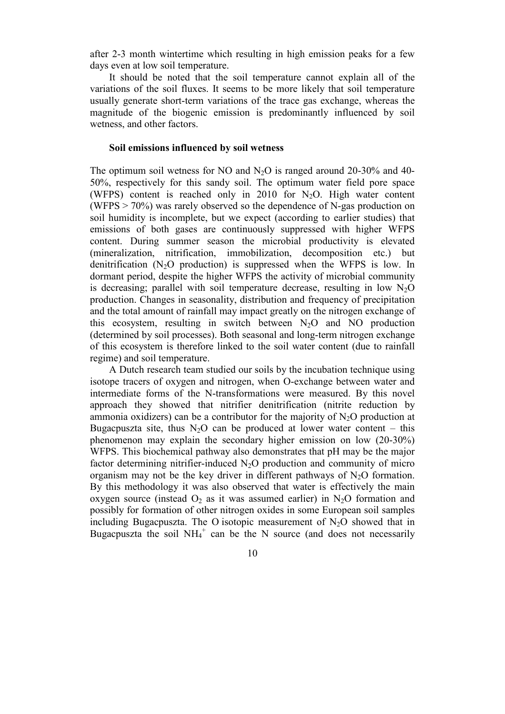after 2-3 month wintertime which resulting in high emission peaks for a few days even at low soil temperature.

It should be noted that the soil temperature cannot explain all of the variations of the soil fluxes. It seems to be more likely that soil temperature usually generate short-term variations of the trace gas exchange, whereas the magnitude of the biogenic emission is predominantly influenced by soil wetness, and other factors.

#### Soil emissions influenced by soil wetness

The optimum soil wetness for NO and  $N<sub>2</sub>O$  is ranged around 20-30% and 40-50%, respectively for this sandy soil. The optimum water field pore space (WFPS) content is reached only in 2010 for  $N_2O$ . High water content (WFPS > 70%) was rarely observed so the dependence of N-gas production on soil humidity is incomplete, but we expect (according to earlier studies) that emissions of both gases are continuously suppressed with higher WFPS content. During summer season the microbial productivity is elevated (mineralization, nitrification, immobilization, decomposition etc.) but denitrification  $(N<sub>2</sub>O)$  production) is suppressed when the WFPS is low. In dormant period, despite the higher WFPS the activity of microbial community is decreasing; parallel with soil temperature decrease, resulting in low  $N<sub>2</sub>O$ production. Changes in seasonality, distribution and frequency of precipitation and the total amount of rainfall may impact greatly on the nitrogen exchange of this ecosystem, resulting in switch between  $N_2O$  and  $NO$  production (determined by soil processes). Both seasonal and long-term nitrogen exchange of this ecosystem is therefore linked to the soil water content (due to rainfall regime) and soil temperature.

A Dutch research team studied our soils by the incubation technique using isotope tracers of oxygen and nitrogen, when O-exchange between water and intermediate forms of the N-transformations were measured. By this novel approach they showed that nitrifier denitrification (nitrite reduction by ammonia oxidizers) can be a contributor for the majority of  $N_2O$  production at Bugacpuszta site, thus  $N_2O$  can be produced at lower water content – this phenomenon may explain the secondary higher emission on low (20-30%) WFPS. This biochemical pathway also demonstrates that pH may be the major factor determining nitrifier-induced  $N_2O$  production and community of micro organism may not be the key driver in different pathways of  $N_2O$  formation. By this methodology it was also observed that water is effectively the main oxygen source (instead  $O_2$  as it was assumed earlier) in N<sub>2</sub>O formation and possibly for formation of other nitrogen oxides in some European soil samples including Bugacpuszta. The O isotopic measurement of  $N_2O$  showed that in Bugacpuszta the soil  $NH_4^+$  can be the N source (and does not necessarily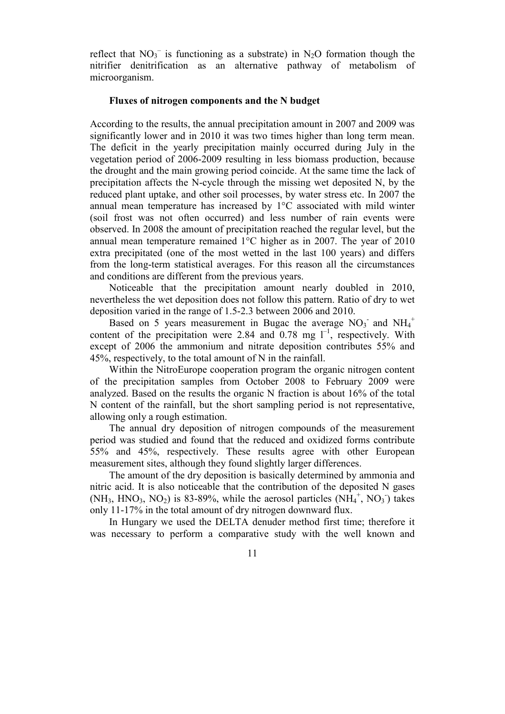reflect that  $NO_3^-$  is functioning as a substrate) in N<sub>2</sub>O formation though the nitrifier denitrification as an alternative pathway of metabolism of microorganism.

#### Fluxes of nitrogen components and the N budget

According to the results, the annual precipitation amount in 2007 and 2009 was significantly lower and in 2010 it was two times higher than long term mean. The deficit in the yearly precipitation mainly occurred during July in the vegetation period of 2006-2009 resulting in less biomass production, because the drought and the main growing period coincide. At the same time the lack of precipitation affects the N-cycle through the missing wet deposited N, by the reduced plant uptake, and other soil processes, by water stress etc. In 2007 the annual mean temperature has increased by 1°C associated with mild winter (soil frost was not often occurred) and less number of rain events were observed. In 2008 the amount of precipitation reached the regular level, but the annual mean temperature remained 1°C higher as in 2007. The year of 2010 extra precipitated (one of the most wetted in the last 100 years) and differs from the long-term statistical averages. For this reason all the circumstances and conditions are different from the previous years.

Noticeable that the precipitation amount nearly doubled in 2010, nevertheless the wet deposition does not follow this pattern. Ratio of dry to wet deposition varied in the range of 1.5-2.3 between 2006 and 2010.

Based on 5 years measurement in Bugac the average  $NO<sub>3</sub>$  and  $NH<sub>4</sub>$ <sup>+</sup> content of the precipitation were 2.84 and  $0.78$  mg  $1^{-1}$ , respectively. With except of 2006 the ammonium and nitrate deposition contributes 55% and 45%, respectively, to the total amount of N in the rainfall.

Within the NitroEurope cooperation program the organic nitrogen content of the precipitation samples from October 2008 to February 2009 were analyzed. Based on the results the organic N fraction is about 16% of the total N content of the rainfall, but the short sampling period is not representative, allowing only a rough estimation.

The annual dry deposition of nitrogen compounds of the measurement period was studied and found that the reduced and oxidized forms contribute 55% and 45%, respectively. These results agree with other European measurement sites, although they found slightly larger differences.

The amount of the dry deposition is basically determined by ammonia and nitric acid. It is also noticeable that the contribution of the deposited N gases  $(NH_3, HNO_3, NO_2)$  is 83-89%, while the aerosol particles  $(NH_4^+, NO_3)$  takes only 11-17% in the total amount of dry nitrogen downward flux.

In Hungary we used the DELTA denuder method first time; therefore it was necessary to perform a comparative study with the well known and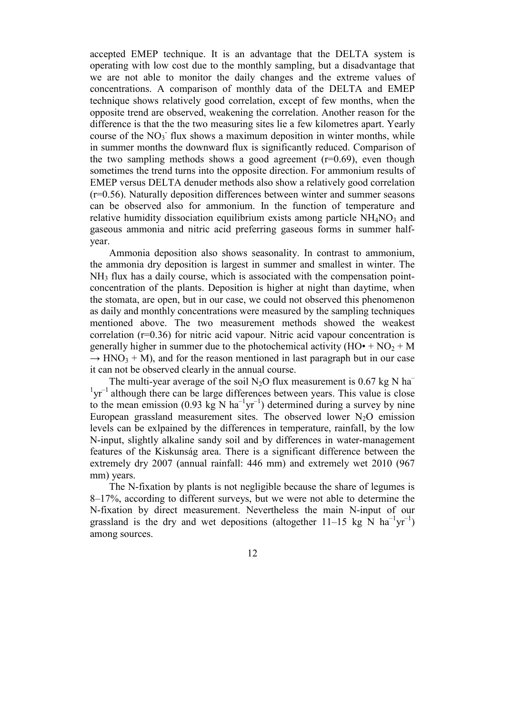accepted EMEP technique. It is an advantage that the DELTA system is operating with low cost due to the monthly sampling, but a disadvantage that we are not able to monitor the daily changes and the extreme values of concentrations. A comparison of monthly data of the DELTA and EMEP technique shows relatively good correlation, except of few months, when the opposite trend are observed, weakening the correlation. Another reason for the difference is that the the two measuring sites lie a few kilometres apart. Yearly course of the  $NO<sub>3</sub>$  flux shows a maximum deposition in winter months, while in summer months the downward flux is significantly reduced. Comparison of the two sampling methods shows a good agreement  $(r=0.69)$ , even though sometimes the trend turns into the opposite direction. For ammonium results of EMEP versus DELTA denuder methods also show a relatively good correlation (r=0.56). Naturally deposition differences between winter and summer seasons can be observed also for ammonium. In the function of temperature and relative humidity dissociation equilibrium exists among particle  $NH<sub>4</sub>NO<sub>3</sub>$  and gaseous ammonia and nitric acid preferring gaseous forms in summer halfyear.

Ammonia deposition also shows seasonality. In contrast to ammonium, the ammonia dry deposition is largest in summer and smallest in winter. The NH3 flux has a daily course, which is associated with the compensation pointconcentration of the plants. Deposition is higher at night than daytime, when the stomata, are open, but in our case, we could not observed this phenomenon as daily and monthly concentrations were measured by the sampling techniques mentioned above. The two measurement methods showed the weakest correlation (r=0.36) for nitric acid vapour. Nitric acid vapour concentration is generally higher in summer due to the photochemical activity  $(HO^* + NO_2 + M)$  $\rightarrow$  HNO<sub>3</sub> + M), and for the reason mentioned in last paragraph but in our case it can not be observed clearly in the annual course.

The multi-year average of the soil N<sub>2</sub>O flux measurement is  $0.67 \text{ kg N}$  ha<sup>-</sup>  $1yr^{-1}$  although there can be large differences between years. This value is close to the mean emission (0.93 kg N  $ha^{-1}yr^{-1}$ ) determined during a survey by nine European grassland measurement sites. The observed lower  $N_2O$  emission levels can be exlpained by the differences in temperature, rainfall, by the low N-input, slightly alkaline sandy soil and by differences in water-management features of the Kiskunság area. There is a significant difference between the extremely dry 2007 (annual rainfall: 446 mm) and extremely wet 2010 (967 mm) years.

The N-fixation by plants is not negligible because the share of legumes is 8–17%, according to different surveys, but we were not able to determine the N-fixation by direct measurement. Nevertheless the main N-input of our grassland is the dry and wet depositions (altogether 11–15 kg N  $ha^{-1}yr^{-1}$ ) among sources.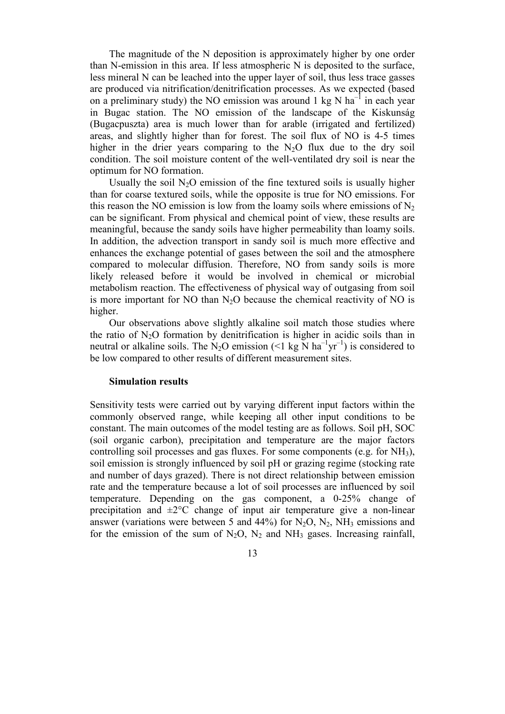The magnitude of the N deposition is approximately higher by one order than N-emission in this area. If less atmospheric N is deposited to the surface, less mineral N can be leached into the upper layer of soil, thus less trace gasses are produced via nitrification/denitrification processes. As we expected (based on a preliminary study) the NO emission was around 1 kg N  $ha^{-1}$  in each year in Bugac station. The NO emission of the landscape of the Kiskunság (Bugacpuszta) area is much lower than for arable (irrigated and fertilized) areas, and slightly higher than for forest. The soil flux of NO is 4-5 times higher in the drier years comparing to the  $N<sub>2</sub>O$  flux due to the dry soil condition. The soil moisture content of the well-ventilated dry soil is near the optimum for NO formation.

Usually the soil  $N_2O$  emission of the fine textured soils is usually higher than for coarse textured soils, while the opposite is true for NO emissions. For this reason the NO emission is low from the loamy soils where emissions of  $N<sub>2</sub>$ can be significant. From physical and chemical point of view, these results are meaningful, because the sandy soils have higher permeability than loamy soils. In addition, the advection transport in sandy soil is much more effective and enhances the exchange potential of gases between the soil and the atmosphere compared to molecular diffusion. Therefore, NO from sandy soils is more likely released before it would be involved in chemical or microbial metabolism reaction. The effectiveness of physical way of outgasing from soil is more important for NO than  $N_2O$  because the chemical reactivity of NO is higher.

Our observations above slightly alkaline soil match those studies where the ratio of  $N_2O$  formation by denitrification is higher in acidic soils than in neutral or alkaline soils. The N<sub>2</sub>O emission (<1 kg N ha<sup>-1</sup>yr<sup>-1</sup>) is considered to be low compared to other results of different measurement sites.

#### Simulation results

Sensitivity tests were carried out by varying different input factors within the commonly observed range, while keeping all other input conditions to be constant. The main outcomes of the model testing are as follows. Soil pH, SOC (soil organic carbon), precipitation and temperature are the major factors controlling soil processes and gas fluxes. For some components (e.g. for  $NH_3$ ), soil emission is strongly influenced by soil pH or grazing regime (stocking rate and number of days grazed). There is not direct relationship between emission rate and the temperature because a lot of soil processes are influenced by soil temperature. Depending on the gas component, a 0-25% change of precipitation and  $\pm 2^{\circ}$ C change of input air temperature give a non-linear answer (variations were between 5 and 44%) for  $N_2O$ ,  $N_2$ , NH<sub>3</sub> emissions and for the emission of the sum of  $N_2O$ ,  $N_2$  and  $NH_3$  gases. Increasing rainfall,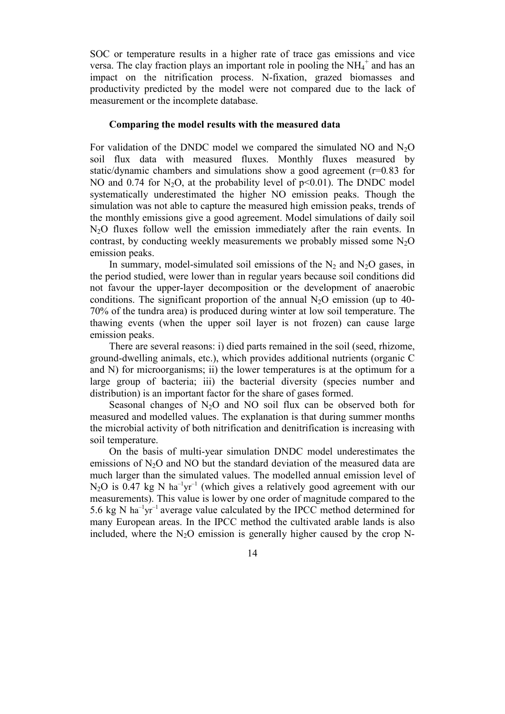SOC or temperature results in a higher rate of trace gas emissions and vice versa. The clay fraction plays an important role in pooling the  $NH_4^+$  and has an impact on the nitrification process. N-fixation, grazed biomasses and productivity predicted by the model were not compared due to the lack of measurement or the incomplete database.

#### Comparing the model results with the measured data

For validation of the DNDC model we compared the simulated NO and  $N_2O$ soil flux data with measured fluxes. Monthly fluxes measured by static/dynamic chambers and simulations show a good agreement  $(r=0.83$  for NO and 0.74 for N<sub>2</sub>O, at the probability level of  $p \le 0.01$ ). The DNDC model systematically underestimated the higher NO emission peaks. Though the simulation was not able to capture the measured high emission peaks, trends of the monthly emissions give a good agreement. Model simulations of daily soil N2O fluxes follow well the emission immediately after the rain events. In contrast, by conducting weekly measurements we probably missed some  $N_2O$ emission peaks.

In summary, model-simulated soil emissions of the  $N_2$  and  $N_2O$  gases, in the period studied, were lower than in regular years because soil conditions did not favour the upper-layer decomposition or the development of anaerobic conditions. The significant proportion of the annual  $N_2O$  emission (up to 40-70% of the tundra area) is produced during winter at low soil temperature. The thawing events (when the upper soil layer is not frozen) can cause large emission peaks.

There are several reasons: i) died parts remained in the soil (seed, rhizome, ground-dwelling animals, etc.), which provides additional nutrients (organic C and N) for microorganisms; ii) the lower temperatures is at the optimum for a large group of bacteria; iii) the bacterial diversity (species number and distribution) is an important factor for the share of gases formed.

Seasonal changes of  $N_2O$  and NO soil flux can be observed both for measured and modelled values. The explanation is that during summer months the microbial activity of both nitrification and denitrification is increasing with soil temperature.

On the basis of multi-year simulation DNDC model underestimates the emissions of  $N<sub>2</sub>O$  and NO but the standard deviation of the measured data are much larger than the simulated values. The modelled annual emission level of  $N_2O$  is 0.47 kg N ha<sup>-1</sup>yr<sup>-1</sup> (which gives a relatively good agreement with our measurements). This value is lower by one order of magnitude compared to the 5.6 kg N ha<sup>-1</sup>yr<sup>-1</sup> average value calculated by the IPCC method determined for many European areas. In the IPCC method the cultivated arable lands is also included, where the  $N_2O$  emission is generally higher caused by the crop N-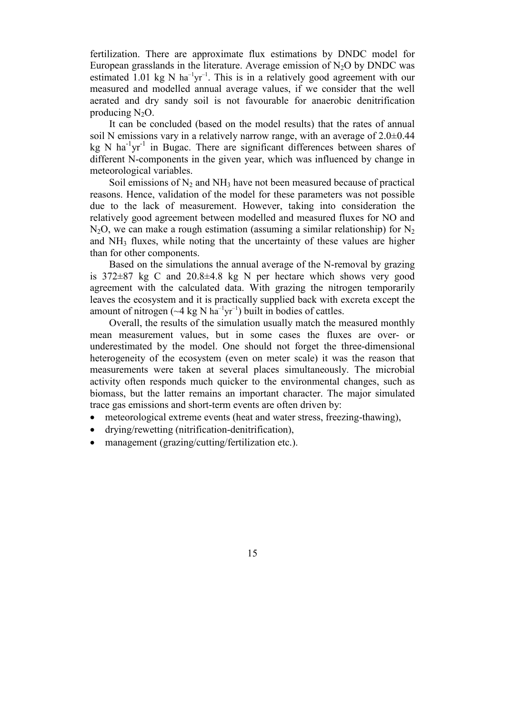fertilization. There are approximate flux estimations by DNDC model for European grasslands in the literature. Average emission of  $N_2O$  by DNDC was estimated 1.01 kg N ha<sup>-1</sup>yr<sup>-1</sup>. This is in a relatively good agreement with our measured and modelled annual average values, if we consider that the well aerated and dry sandy soil is not favourable for anaerobic denitrification producing  $N_2O$ .

It can be concluded (based on the model results) that the rates of annual soil N emissions vary in a relatively narrow range, with an average of  $2.0\pm0.44$ kg N ha<sup>-1</sup>yr<sup>-1</sup> in Bugac. There are significant differences between shares of different N-components in the given year, which was influenced by change in meteorological variables.

Soil emissions of  $N_2$  and  $NH_3$  have not been measured because of practical reasons. Hence, validation of the model for these parameters was not possible due to the lack of measurement. However, taking into consideration the relatively good agreement between modelled and measured fluxes for NO and  $N_2O$ , we can make a rough estimation (assuming a similar relationship) for  $N_2$ and NH3 fluxes, while noting that the uncertainty of these values are higher than for other components.

Based on the simulations the annual average of the N-removal by grazing is 372±87 kg C and 20.8±4.8 kg N per hectare which shows very good agreement with the calculated data. With grazing the nitrogen temporarily leaves the ecosystem and it is practically supplied back with excreta except the amount of nitrogen  $({}^{\sim}4 \text{ kg N ha}^{-1}\text{vr}^{-1})$  built in bodies of cattles.

Overall, the results of the simulation usually match the measured monthly mean measurement values, but in some cases the fluxes are over- or underestimated by the model. One should not forget the three-dimensional heterogeneity of the ecosystem (even on meter scale) it was the reason that measurements were taken at several places simultaneously. The microbial activity often responds much quicker to the environmental changes, such as biomass, but the latter remains an important character. The major simulated trace gas emissions and short-term events are often driven by:

- meteorological extreme events (heat and water stress, freezing-thawing),
- drying/rewetting (nitrification-denitrification),
- management (grazing/cutting/fertilization etc.).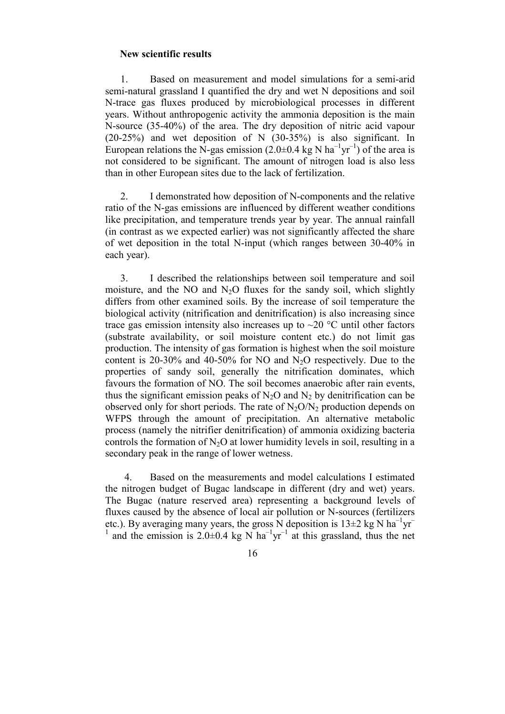#### New scientific results

1. Based on measurement and model simulations for a semi-arid semi-natural grassland I quantified the dry and wet N depositions and soil N-trace gas fluxes produced by microbiological processes in different years. Without anthropogenic activity the ammonia deposition is the main N-source (35-40%) of the area. The dry deposition of nitric acid vapour (20-25%) and wet deposition of N (30-35%) is also significant. In European relations the N-gas emission  $(2.0\pm 0.4 \text{ kg N ha}^{-1} \text{yr}^{-1})$  of the area is not considered to be significant. The amount of nitrogen load is also less than in other European sites due to the lack of fertilization.

2. I demonstrated how deposition of N-components and the relative ratio of the N-gas emissions are influenced by different weather conditions like precipitation, and temperature trends year by year. The annual rainfall (in contrast as we expected earlier) was not significantly affected the share of wet deposition in the total N-input (which ranges between 30-40% in each year).

3. I described the relationships between soil temperature and soil moisture, and the NO and  $N<sub>2</sub>O$  fluxes for the sandy soil, which slightly differs from other examined soils. By the increase of soil temperature the biological activity (nitrification and denitrification) is also increasing since trace gas emission intensity also increases up to  $\sim$ 20 °C until other factors (substrate availability, or soil moisture content etc.) do not limit gas production. The intensity of gas formation is highest when the soil moisture content is 20-30% and 40-50% for NO and  $N_2O$  respectively. Due to the properties of sandy soil, generally the nitrification dominates, which favours the formation of NO. The soil becomes anaerobic after rain events, thus the significant emission peaks of  $N_2O$  and  $N_2$  by denitrification can be observed only for short periods. The rate of  $N<sub>2</sub>O/N<sub>2</sub>$  production depends on WFPS through the amount of precipitation. An alternative metabolic process (namely the nitrifier denitrification) of ammonia oxidizing bacteria controls the formation of  $N_2O$  at lower humidity levels in soil, resulting in a secondary peak in the range of lower wetness.

4. Based on the measurements and model calculations I estimated the nitrogen budget of Bugac landscape in different (dry and wet) years. The Bugac (nature reserved area) representing a background levels of fluxes caused by the absence of local air pollution or N-sources (fertilizers etc.). By averaging many years, the gross N deposition is  $13\pm 2$  kg N ha<sup>-1</sup>yr<sup>-1</sup> <sup>1</sup> and the emission is 2.0 $\pm$ 0.4 kg N ha<sup>-1</sup>yr<sup>-1</sup> at this grassland, thus the net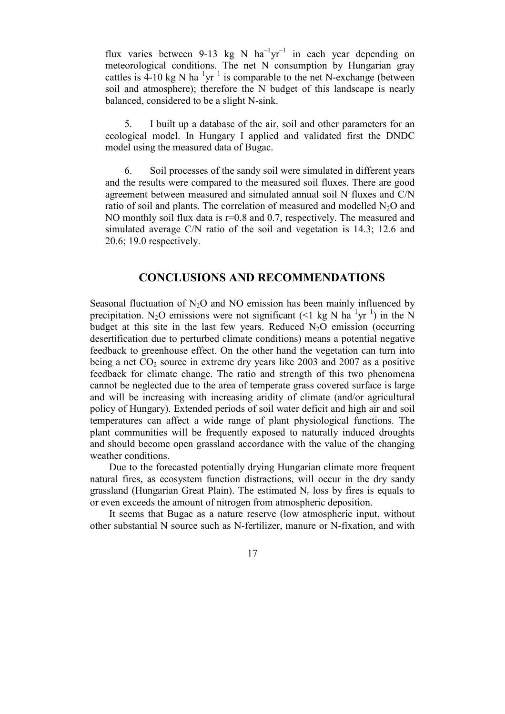flux varies between 9-13 kg N  $ha^{-1}yr^{-1}$  in each year depending on meteorological conditions. The net N consumption by Hungarian gray cattles is  $4-10 \text{ kg N} \text{ ha}^{-1} \text{yr}^{-1}$  is comparable to the net N-exchange (between soil and atmosphere); therefore the N budget of this landscape is nearly balanced, considered to be a slight N-sink.

5. I built up a database of the air, soil and other parameters for an ecological model. In Hungary I applied and validated first the DNDC model using the measured data of Bugac.

6. Soil processes of the sandy soil were simulated in different years and the results were compared to the measured soil fluxes. There are good agreement between measured and simulated annual soil N fluxes and C/N ratio of soil and plants. The correlation of measured and modelled  $N_2O$  and NO monthly soil flux data is  $r=0.8$  and 0.7, respectively. The measured and simulated average C/N ratio of the soil and vegetation is 14.3; 12.6 and 20.6; 19.0 respectively.

## CONCLUSIONS AND RECOMMENDATIONS

Seasonal fluctuation of  $N_2O$  and NO emission has been mainly influenced by precipitation. N<sub>2</sub>O emissions were not significant (<1 kg N  $ha^{-1}yr^{-1}$ ) in the N budget at this site in the last few years. Reduced  $N_2O$  emission (occurring desertification due to perturbed climate conditions) means a potential negative feedback to greenhouse effect. On the other hand the vegetation can turn into being a net  $CO_2$  source in extreme dry years like 2003 and 2007 as a positive feedback for climate change. The ratio and strength of this two phenomena cannot be neglected due to the area of temperate grass covered surface is large and will be increasing with increasing aridity of climate (and/or agricultural policy of Hungary). Extended periods of soil water deficit and high air and soil temperatures can affect a wide range of plant physiological functions. The plant communities will be frequently exposed to naturally induced droughts and should become open grassland accordance with the value of the changing weather conditions.

Due to the forecasted potentially drying Hungarian climate more frequent natural fires, as ecosystem function distractions, will occur in the dry sandy grassland (Hungarian Great Plain). The estimated  $N_r$  loss by fires is equals to or even exceeds the amount of nitrogen from atmospheric deposition.

It seems that Bugac as a nature reserve (low atmospheric input, without other substantial N source such as N-fertilizer, manure or N-fixation, and with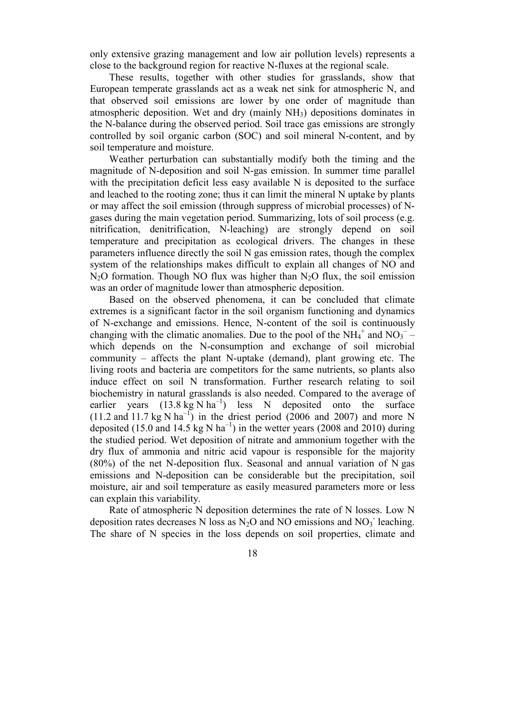only extensive grazing management and low air pollution levels) represents a close to the background region for reactive N-fluxes at the regional scale.

These results, together with other studies for grasslands, show that European temperate grasslands act as a weak net sink for atmospheric N, and that observed soil emissions are lower by one order of magnitude than atmospheric deposition. Wet and dry (mainly NH3) depositions dominates in the N-balance during the observed period. Soil trace gas emissions are strongly controlled by soil organic carbon (SOC) and soil mineral N-content, and by soil temperature and moisture.

Weather perturbation can substantially modify both the timing and the magnitude of N-deposition and soil N-gas emission. In summer time parallel with the precipitation deficit less easy available N is deposited to the surface and leached to the rooting zone; thus it can limit the mineral N uptake by plants or may affect the soil emission (through suppress of microbial processes) of Ngases during the main vegetation period. Summarizing, lots of soil process (e.g. nitrification, denitrification, N-leaching) are strongly depend on soil temperature and precipitation as ecological drivers. The changes in these parameters influence directly the soil N gas emission rates, though the complex system of the relationships makes difficult to explain all changes of NO and  $N<sub>2</sub>O$  formation. Though NO flux was higher than  $N<sub>2</sub>O$  flux, the soil emission was an order of magnitude lower than atmospheric deposition.

Based on the observed phenomena, it can be concluded that climate extremes is a significant factor in the soil organism functioning and dynamics of N-exchange and emissions. Hence, N-content of the soil is continuously changing with the climatic anomalies. Due to the pool of the  $NH_4^+$  and  $NO_3^-$  which depends on the N-consumption and exchange of soil microbial community – affects the plant N-uptake (demand), plant growing etc. The living roots and bacteria are competitors for the same nutrients, so plants also induce effect on soil N transformation. Further research relating to soil biochemistry in natural grasslands is also needed. Compared to the average of earlier years  $(13.8 \text{ kg N ha}^{-1})$  less N deposited onto the surface (11.2 and 11.7 kg N ha<sup>-1</sup>) in the driest period (2006 and 2007) and more N deposited (15.0 and 14.5 kg N ha<sup>-1</sup>) in the wetter years (2008 and 2010) during the studied period. Wet deposition of nitrate and ammonium together with the dry flux of ammonia and nitric acid vapour is responsible for the majority (80%) of the net N-deposition flux. Seasonal and annual variation of N gas emissions and N-deposition can be considerable but the precipitation, soil moisture, air and soil temperature as easily measured parameters more or less can explain this variability.

Rate of atmospheric N deposition determines the rate of N losses. Low N deposition rates decreases N loss as  $N_2O$  and NO emissions and  $NO_3$ <sup>-</sup> leaching. The share of N species in the loss depends on soil properties, climate and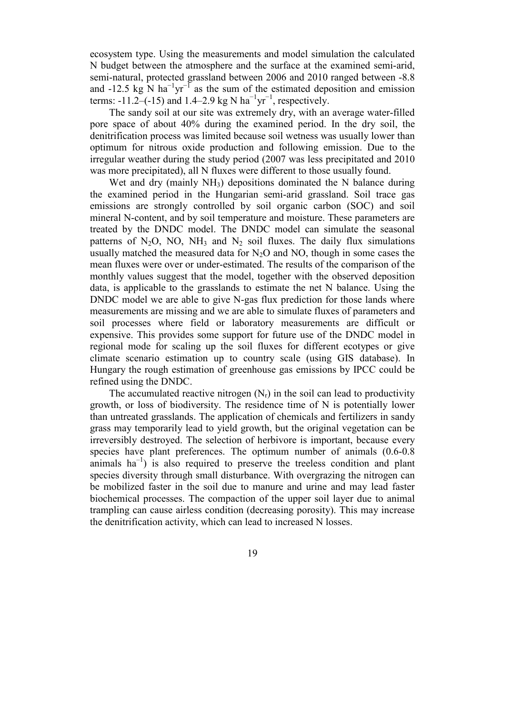ecosystem type. Using the measurements and model simulation the calculated N budget between the atmosphere and the surface at the examined semi-arid, semi-natural, protected grassland between 2006 and 2010 ranged between -8.8 and -12.5 kg N ha<sup>-1</sup>yr<sup>-1</sup> as the sum of the estimated deposition and emission terms: -11.2–(-15) and 1.4–2.9 kg N ha<sup>-1</sup>yr<sup>-1</sup>, respectively.

The sandy soil at our site was extremely dry, with an average water-filled pore space of about 40% during the examined period. In the dry soil, the denitrification process was limited because soil wetness was usually lower than optimum for nitrous oxide production and following emission. Due to the irregular weather during the study period (2007 was less precipitated and 2010 was more precipitated), all N fluxes were different to those usually found.

Wet and dry (mainly NH<sub>3</sub>) depositions dominated the N balance during the examined period in the Hungarian semi-arid grassland. Soil trace gas emissions are strongly controlled by soil organic carbon (SOC) and soil mineral N-content, and by soil temperature and moisture. These parameters are treated by the DNDC model. The DNDC model can simulate the seasonal patterns of  $N_2O$ , NO, NH<sub>3</sub> and  $N_2$  soil fluxes. The daily flux simulations usually matched the measured data for  $N_2O$  and  $NO$ , though in some cases the mean fluxes were over or under-estimated. The results of the comparison of the monthly values suggest that the model, together with the observed deposition data, is applicable to the grasslands to estimate the net N balance. Using the DNDC model we are able to give N-gas flux prediction for those lands where measurements are missing and we are able to simulate fluxes of parameters and soil processes where field or laboratory measurements are difficult or expensive. This provides some support for future use of the DNDC model in regional mode for scaling up the soil fluxes for different ecotypes or give climate scenario estimation up to country scale (using GIS database). In Hungary the rough estimation of greenhouse gas emissions by IPCC could be refined using the DNDC.

The accumulated reactive nitrogen  $(N_r)$  in the soil can lead to productivity growth, or loss of biodiversity. The residence time of N is potentially lower than untreated grasslands. The application of chemicals and fertilizers in sandy grass may temporarily lead to yield growth, but the original vegetation can be irreversibly destroyed. The selection of herbivore is important, because every species have plant preferences. The optimum number of animals (0.6-0.8 animals  $ha^{-1}$ ) is also required to preserve the treeless condition and plant species diversity through small disturbance. With overgrazing the nitrogen can be mobilized faster in the soil due to manure and urine and may lead faster biochemical processes. The compaction of the upper soil layer due to animal trampling can cause airless condition (decreasing porosity). This may increase the denitrification activity, which can lead to increased N losses.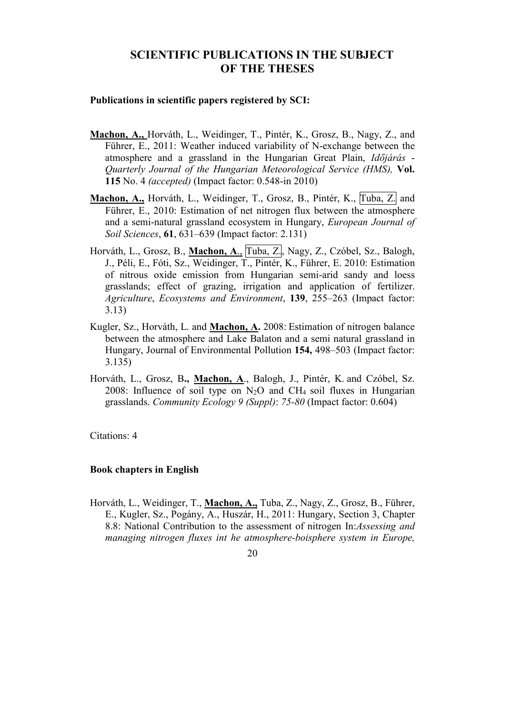## SCIENTIFIC PUBLICATIONS IN THE SUBJECT OF THE THESES

#### Publications in scientific papers registered by SCI:

- Machon, A., Horváth, L., Weidinger, T., Pintér, K., Grosz, B., Nagy, Z., and Führer, E., 2011: Weather induced variability of N-exchange between the atmosphere and a grassland in the Hungarian Great Plain, Időjárás - Quarterly Journal of the Hungarian Meteorological Service (HMS), Vol. 115 No. 4 (accepted) (Impact factor: 0.548-in 2010)
- Machon, A., Horváth, L., Weidinger, T., Grosz, B., Pintér, K., Tuba, Z. and Führer, E., 2010: Estimation of net nitrogen flux between the atmosphere and a semi-natural grassland ecosystem in Hungary, European Journal of Soil Sciences, 61, 631–639 (Impact factor: 2.131)
- Horváth, L., Grosz, B., Machon, A., Tuba, Z., Nagy, Z., Czóbel, Sz., Balogh, J., Péli, E., Fóti, Sz., Weidinger, T., Pintér, K., Führer, E. 2010: Estimation of nitrous oxide emission from Hungarian semi-arid sandy and loess grasslands; effect of grazing, irrigation and application of fertilizer. Agriculture, Ecosystems and Environment, 139, 255–263 (Impact factor: 3.13)
- Kugler, Sz., Horváth, L. and Machon, A. 2008: Estimation of nitrogen balance between the atmosphere and Lake Balaton and a semi natural grassland in Hungary, Journal of Environmental Pollution 154, 498–503 (Impact factor: 3.135)
- Horváth, L., Grosz, B., Machon, A., Balogh, J., Pintér, K. and Czóbel, Sz. 2008: Influence of soil type on  $N_2O$  and  $CH_4$  soil fluxes in Hungarian grasslands. Community Ecology 9 (Suppl): 75-80 (Impact factor: 0.604)

Citations: 4

## Book chapters in English

Horváth, L., Weidinger, T., Machon, A., Tuba, Z., Nagy, Z., Grosz, B., Führer, E., Kugler, Sz., Pogány, A., Huszár, H., 2011: Hungary, Section 3, Chapter 8.8: National Contribution to the assessment of nitrogen In:Assessing and managing nitrogen fluxes int he atmosphere-boisphere system in Europe,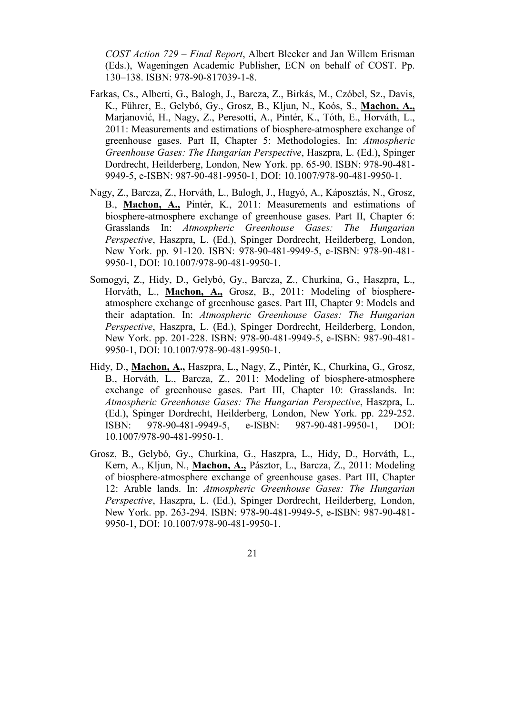COST Action 729 – Final Report, Albert Bleeker and Jan Willem Erisman (Eds.), Wageningen Academic Publisher, ECN on behalf of COST. Pp. 130–138. ISBN: 978-90-817039-1-8.

- Farkas, Cs., Alberti, G., Balogh, J., Barcza, Z., Birkás, M., Czóbel, Sz., Davis, K., Führer, E., Gelybó, Gy., Grosz, B., Kljun, N., Koós, S., Machon, A., Marjanović, H., Nagy, Z., Peresotti, A., Pintér, K., Tóth, E., Horváth, L., 2011: Measurements and estimations of biosphere-atmosphere exchange of greenhouse gases. Part II, Chapter 5: Methodologies. In: Atmospheric Greenhouse Gases: The Hungarian Perspective, Haszpra, L. (Ed.), Spinger Dordrecht, Heilderberg, London, New York. pp. 65-90. ISBN: 978-90-481- 9949-5, e-ISBN: 987-90-481-9950-1, DOI: 10.1007/978-90-481-9950-1.
- Nagy, Z., Barcza, Z., Horváth, L., Balogh, J., Hagyó, A., Káposztás, N., Grosz, B., Machon, A., Pintér, K., 2011: Measurements and estimations of biosphere-atmosphere exchange of greenhouse gases. Part II, Chapter 6: Grasslands In: Atmospheric Greenhouse Gases: The Hungarian Perspective, Haszpra, L. (Ed.), Spinger Dordrecht, Heilderberg, London, New York. pp. 91-120. ISBN: 978-90-481-9949-5, e-ISBN: 978-90-481- 9950-1, DOI: 10.1007/978-90-481-9950-1.
- Somogyi, Z., Hidy, D., Gelybó, Gy., Barcza, Z., Churkina, G., Haszpra, L., Horváth, L., Machon, A., Grosz, B., 2011: Modeling of biosphereatmosphere exchange of greenhouse gases. Part III, Chapter 9: Models and their adaptation. In: Atmospheric Greenhouse Gases: The Hungarian Perspective, Haszpra, L. (Ed.), Spinger Dordrecht, Heilderberg, London, New York. pp. 201-228. ISBN: 978-90-481-9949-5, e-ISBN: 987-90-481- 9950-1, DOI: 10.1007/978-90-481-9950-1.
- Hidy, D., Machon, A., Haszpra, L., Nagy, Z., Pintér, K., Churkina, G., Grosz, B., Horváth, L., Barcza, Z., 2011: Modeling of biosphere-atmosphere exchange of greenhouse gases. Part III, Chapter 10: Grasslands. In: Atmospheric Greenhouse Gases: The Hungarian Perspective, Haszpra, L. (Ed.), Spinger Dordrecht, Heilderberg, London, New York. pp. 229-252. ISBN: 978-90-481-9949-5, e-ISBN: 987-90-481-9950-1, DOI: 10.1007/978-90-481-9950-1.
- Grosz, B., Gelybó, Gy., Churkina, G., Haszpra, L., Hidy, D., Horváth, L., Kern, A., Kljun, N., Machon, A., Pásztor, L., Barcza, Z., 2011: Modeling of biosphere-atmosphere exchange of greenhouse gases. Part III, Chapter 12: Arable lands. In: Atmospheric Greenhouse Gases: The Hungarian Perspective, Haszpra, L. (Ed.), Spinger Dordrecht, Heilderberg, London, New York. pp. 263-294. ISBN: 978-90-481-9949-5, e-ISBN: 987-90-481- 9950-1, DOI: 10.1007/978-90-481-9950-1.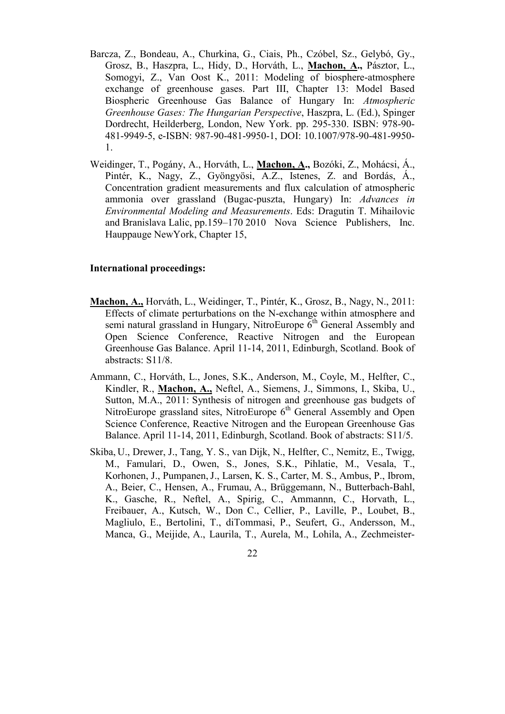- Barcza, Z., Bondeau, A., Churkina, G., Ciais, Ph., Czóbel, Sz., Gelybó, Gy., Grosz, B., Haszpra, L., Hidy, D., Horváth, L., Machon, A., Pásztor, L., Somogyi, Z., Van Oost K., 2011: Modeling of biosphere-atmosphere exchange of greenhouse gases. Part III, Chapter 13: Model Based Biospheric Greenhouse Gas Balance of Hungary In: Atmospheric Greenhouse Gases: The Hungarian Perspective, Haszpra, L. (Ed.), Spinger Dordrecht, Heilderberg, London, New York. pp. 295-330. ISBN: 978-90- 481-9949-5, e-ISBN: 987-90-481-9950-1, DOI: 10.1007/978-90-481-9950- 1.
- Weidinger, T., Pogány, A., Horváth, L., Machon, A., Bozóki, Z., Mohácsi, Á., Pintér, K., Nagy, Z., Gyöngyösi, A.Z., Istenes, Z. and Bordás, Á., Concentration gradient measurements and flux calculation of atmospheric ammonia over grassland (Bugac-puszta, Hungary) In: Advances in Environmental Modeling and Measurements. Eds: Dragutin T. Mihailovic and Branislava Lalic, pp.159–170 2010 Nova Science Publishers, Inc. Hauppauge NewYork, Chapter 15,

#### International proceedings:

- Machon, A., Horváth, L., Weidinger, T., Pintér, K., Grosz, B., Nagy, N., 2011: Effects of climate perturbations on the N-exchange within atmosphere and semi natural grassland in Hungary, NitroEurope  $6<sup>th</sup>$  General Assembly and Open Science Conference, Reactive Nitrogen and the European Greenhouse Gas Balance. April 11-14, 2011, Edinburgh, Scotland. Book of abstracts: S11/8.
- Ammann, C., Horváth, L., Jones, S.K., Anderson, M., Coyle, M., Helfter, C., Kindler, R., Machon, A., Neftel, A., Siemens, J., Simmons, I., Skiba, U., Sutton, M.A., 2011: Synthesis of nitrogen and greenhouse gas budgets of NitroEurope grassland sites, NitroEurope 6<sup>th</sup> General Assembly and Open Science Conference, Reactive Nitrogen and the European Greenhouse Gas Balance. April 11-14, 2011, Edinburgh, Scotland. Book of abstracts: S11/5.
- Skiba, U., Drewer, J., Tang, Y. S., van Dijk, N., Helfter, C., Nemitz, E., Twigg, M., Famulari, D., Owen, S., Jones, S.K., Pihlatie, M., Vesala, T., Korhonen, J., Pumpanen,J., Larsen, K. S., Carter, M. S., Ambus, P., Ibrom, A., Beier, C., Hensen, A., Frumau, A., Brüggemann, N., Butterbach-Bahl, K., Gasche, R., Neftel, A., Spirig, C., Ammannn, C., Horvath, L., Freibauer, A., Kutsch, W., Don C., Cellier, P., Laville, P., Loubet, B., Magliulo, E., Bertolini, T., diTommasi, P., Seufert, G., Andersson, M., Manca, G., Meijide, A., Laurila, T., Aurela, M., Lohila, A., Zechmeister-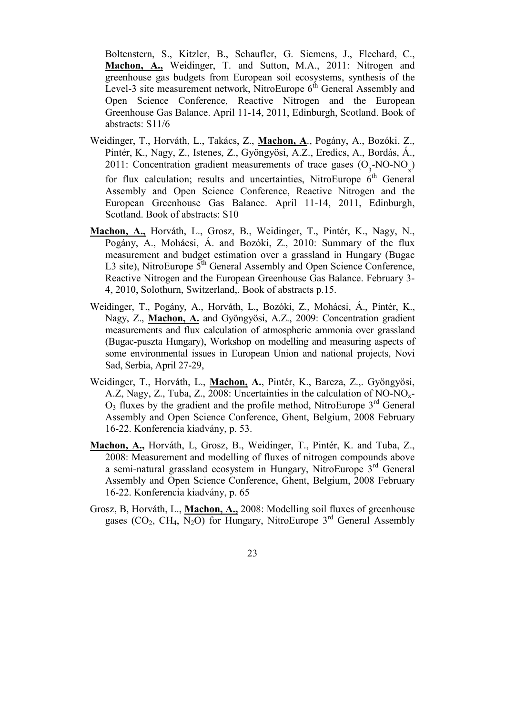Boltenstern, S., Kitzler, B., Schaufler, G. Siemens, J., Flechard, C., Machon, A., Weidinger, T. and Sutton, M.A., 2011: Nitrogen and greenhouse gas budgets from European soil ecosystems, synthesis of the Level-3 site measurement network, NitroEurope  $6<sup>th</sup>$  General Assembly and Open Science Conference, Reactive Nitrogen and the European Greenhouse Gas Balance. April 11-14, 2011, Edinburgh, Scotland. Book of abstracts: S11/6

- Weidinger, T., Horváth, L., Takács, Z., Machon, A., Pogány, A., Bozóki, Z., Pintér, K., Nagy, Z., Istenes, Z., Gyöngyösi, A.Z., Eredics, A., Bordás, Á., 2011: Concentration gradient measurements of trace gases  $(O_3$ -NO-NO<sub>x</sub>) for flux calculation; results and uncertainties, NitroEurope  $6<sup>th</sup>$  General Assembly and Open Science Conference, Reactive Nitrogen and the European Greenhouse Gas Balance. April 11-14, 2011, Edinburgh, Scotland. Book of abstracts: S10
- Machon, A., Horváth, L., Grosz, B., Weidinger, T., Pintér, K., Nagy, N., Pogány, A., Mohácsi, Á. and Bozóki, Z., 2010: Summary of the flux measurement and budget estimation over a grassland in Hungary (Bugac L3 site), NitroEurope  $5<sup>th</sup>$  General Assembly and Open Science Conference, Reactive Nitrogen and the European Greenhouse Gas Balance. February 3- 4, 2010, Solothurn, Switzerland,. Book of abstracts p.15.
- Weidinger, T., Pogány, A., Horváth, L., Bozóki, Z., Mohácsi, Á., Pintér, K., Nagy, Z., Machon, A. and Gyöngyösi, A.Z., 2009: Concentration gradient measurements and flux calculation of atmospheric ammonia over grassland (Bugac-puszta Hungary), Workshop on modelling and measuring aspects of some environmental issues in European Union and national projects, Novi Sad, Serbia, April 27-29,
- Weidinger, T., Horváth, L., Machon, A., Pintér, K., Barcza, Z.,. Gyöngyösi, A.Z, Nagy, Z., Tuba, Z., 2008: Uncertainties in the calculation of NO-NOx- $O_3$  fluxes by the gradient and the profile method, NitroEurope  $3<sup>rd</sup>$  General Assembly and Open Science Conference, Ghent, Belgium, 2008 February 16-22. Konferencia kiadvány, p. 53.
- Machon, A., Horváth, L, Grosz, B., Weidinger, T., Pintér, K. and Tuba, Z., 2008: Measurement and modelling of fluxes of nitrogen compounds above a semi-natural grassland ecosystem in Hungary, NitroEurope 3rd General Assembly and Open Science Conference, Ghent, Belgium, 2008 February 16-22. Konferencia kiadvány, p. 65
- Grosz, B, Horváth, L., Machon, A., 2008: Modelling soil fluxes of greenhouse gases (CO<sub>2</sub>, CH<sub>4</sub>,  $\overline{N_2O}$ ) for Hungary, NitroEurope 3<sup>rd</sup> General Assembly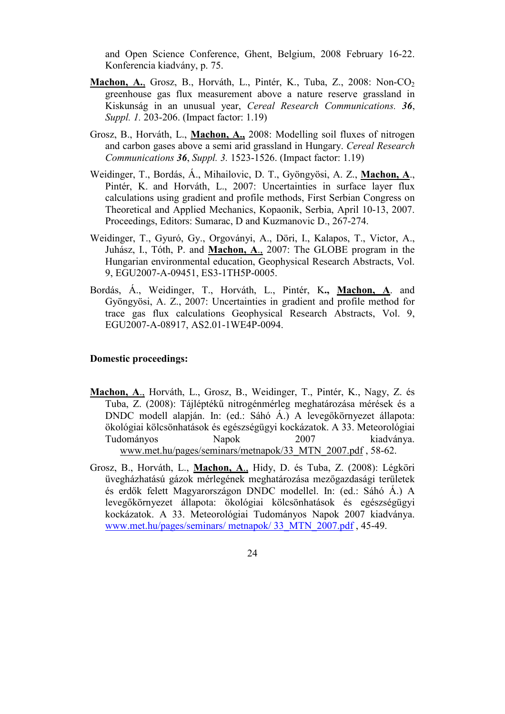and Open Science Conference, Ghent, Belgium, 2008 February 16-22. Konferencia kiadvány, p. 75.

- Machon, A., Grosz, B., Horváth, L., Pintér, K., Tuba, Z., 2008: Non-CO<sub>2</sub> greenhouse gas flux measurement above a nature reserve grassland in Kiskunság in an unusual year, Cereal Research Communications. 36, Suppl. 1. 203-206. (Impact factor: 1.19)
- Grosz, B., Horváth, L., Machon, A., 2008: Modelling soil fluxes of nitrogen and carbon gases above a semi arid grassland in Hungary. Cereal Research Communications 36, Suppl. 3. 1523-1526. (Impact factor: 1.19)
- Weidinger, T., Bordás, Á., Mihailovic, D. T., Gyöngyösi, A. Z., Machon, A., Pintér, K. and Horváth, L., 2007: Uncertainties in surface layer flux calculations using gradient and profile methods, First Serbian Congress on Theoretical and Applied Mechanics, Kopaonik, Serbia, April 10-13, 2007. Proceedings, Editors: Sumarac, D and Kuzmanovic D., 267-274.
- Weidinger, T., Gyuró, Gy., Orgoványi, A., Döri, I., Kalapos, T., Victor, A., Juhász, I., Tóth, P. and Machon, A., 2007: The GLOBE program in the Hungarian environmental education, Geophysical Research Abstracts, Vol. 9, EGU2007-A-09451, ES3-1TH5P-0005.
- Bordás, Á., Weidinger, T., Horváth, L., Pintér, K., Machon, A. and Gyöngyösi, A. Z., 2007: Uncertainties in gradient and profile method for trace gas flux calculations Geophysical Research Abstracts, Vol. 9, EGU2007-A-08917, AS2.01-1WE4P-0094.

#### Domestic proceedings:

- Machon, A., Horváth, L., Grosz, B., Weidinger, T., Pintér, K., Nagy, Z. és Tuba, Z. (2008): Tájléptékű nitrogénmérleg meghatározása mérések és a DNDC modell alapján. In: (ed.: Sáhó Á.) A levegőkörnyezet állapota: ökológiai kölcsönhatások és egészségügyi kockázatok. A 33. Meteorológiai Tudományos Napok 2007 kiadványa. www.met.hu/pages/seminars/metnapok/33\_MTN\_2007.pdf , 58-62.
- Grosz, B., Horváth, L., Machon, A., Hidy, D. és Tuba, Z. (2008): Légköri üvegházhatású gázok mérlegének meghatározása mezőgazdasági területek és erdők felett Magyarországon DNDC modellel. In: (ed.: Sáhó Á.) A levegőkörnyezet állapota: ökológiai kölcsönhatások és egészségügyi kockázatok. A 33. Meteorológiai Tudományos Napok 2007 kiadványa. www.met.hu/pages/seminars/ metnapok/ 33\_MTN\_2007.pdf , 45-49.